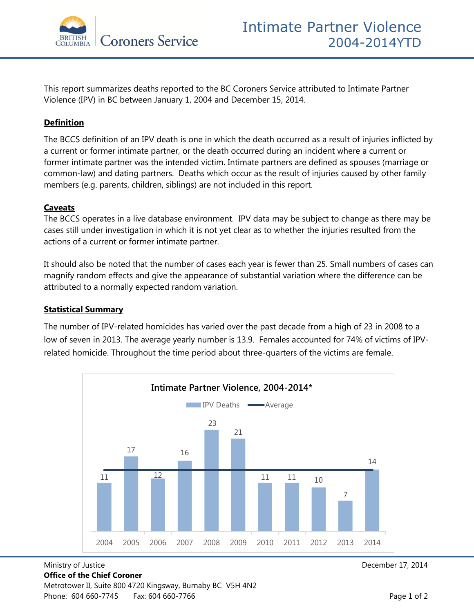

This report summarizes deaths reported to the BC Coroners Service attributed to Intimate Partner Violence (IPV) in BC between January 1, 2004 and December 15, 2014.

## **Definition**

The BCCS definition of an IPV death is one in which the death occurred as a result of injuries inflicted by a current or former intimate partner, or the death occurred during an incident where a current or former intimate partner was the intended victim. Intimate partners are defined as spouses (marriage or common-law) and dating partners. Deaths which occur as the result of injuries caused by other family members (e.g. parents, children, siblings) are not included in this report.

## **Caveats**

The BCCS operates in a live database environment. IPV data may be subject to change as there may be cases still under investigation in which it is not yet clear as to whether the injuries resulted from the actions of a current or former intimate partner.

It should also be noted that the number of cases each year is fewer than 25. Small numbers of cases can magnify random effects and give the appearance of substantial variation where the difference can be attributed to a normally expected random variation.

## **Statistical Summary**

The number of IPV-related homicides has varied over the past decade from a high of 23 in 2008 to a low of seven in 2013. The average yearly number is 13.9. Females accounted for 74% of victims of IPVrelated homicide. Throughout the time period about three-quarters of the victims are female.



## Ministry of Justice December 17, 2014 **Office of the Chief Coroner**  Metrotower II, Suite 800 4720 Kingsway, Burnaby BC V5H 4N2 Phone: 604 660-7745 Fax: 604 660-7766 Fax: 004 660-7766